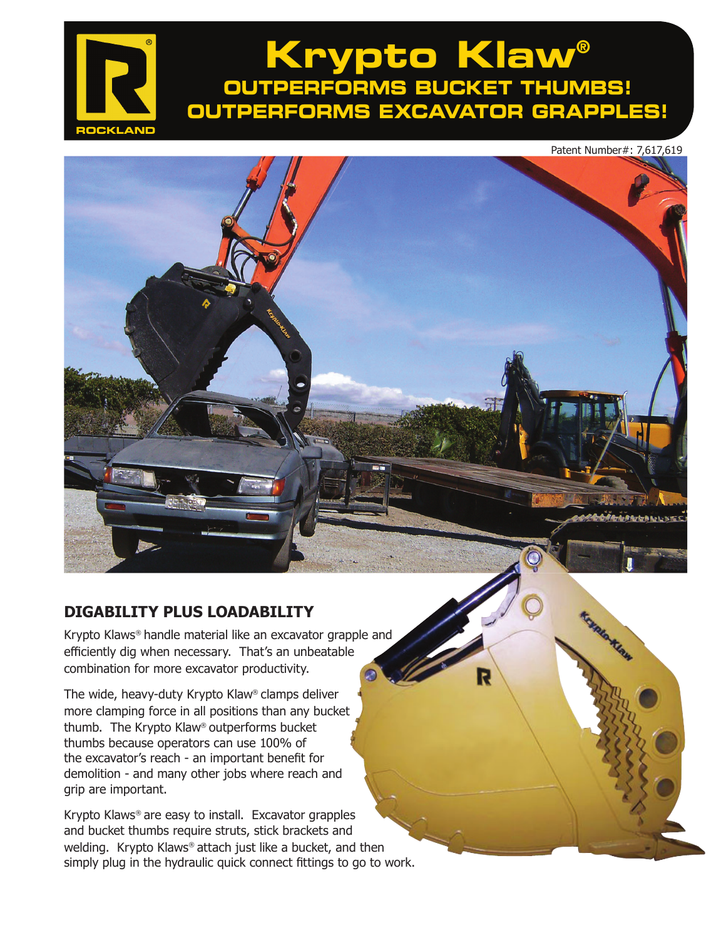# **Krypto Klaw® OUTPERFORMS BUCKET THUMBS! OUTPERFORMS EXCAVATOR GRAPPLES!**

Patent Number#: 7,617,619

**Komlandige** 

### **DIGABILITY PLUS LOADABILITY**

**ROCKLAND**

Krypto Klaws® handle material like an excavator grapple and efficiently dig when necessary. That's an unbeatable combination for more excavator productivity.

The wide, heavy-duty Krypto Klaw® clamps deliver more clamping force in all positions than any bucket thumb. The Krypto Klaw® outperforms bucket thumbs because operators can use 100% of the excavator's reach - an important benefit for demolition - and many other jobs where reach and grip are important.

Krypto Klaws® are easy to install. Excavator grapples and bucket thumbs require struts, stick brackets and welding. Krypto Klaws® attach just like a bucket, and then simply plug in the hydraulic quick connect fittings to go to work.